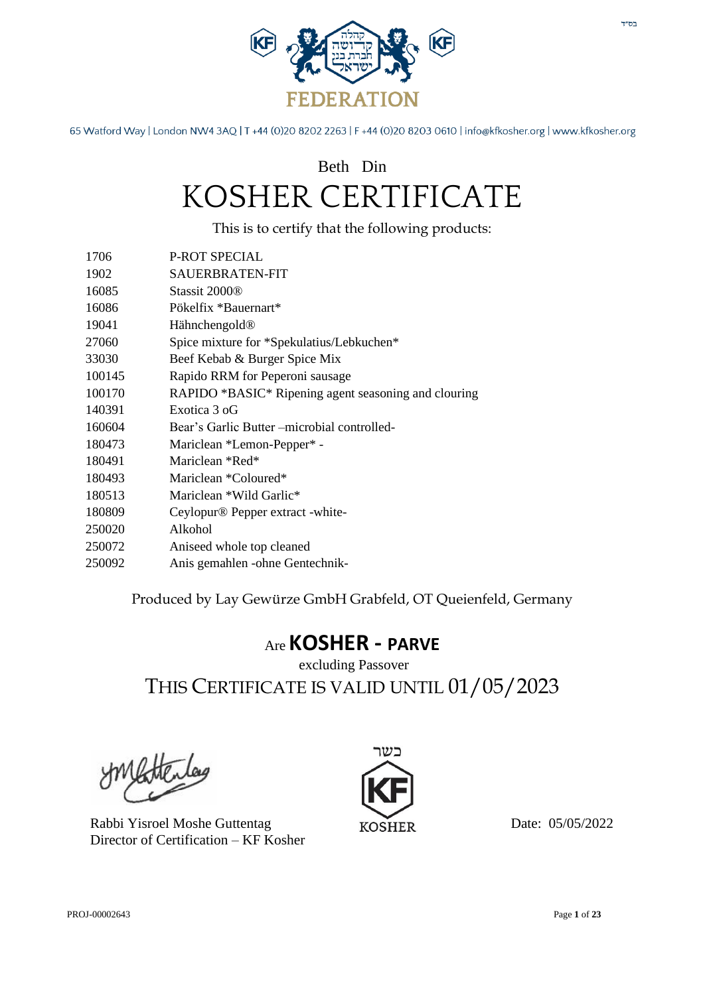

### Beth Din KOSHER CERTIFICATE

This is to certify that the following products:

| 1706   | <b>P-ROT SPECIAL</b>                                 |
|--------|------------------------------------------------------|
| 1902   | SAUERBRATEN-FIT                                      |
| 16085  | Stassit 2000 <sup>®</sup>                            |
| 16086  | Pökelfix *Bauernart*                                 |
| 19041  | Hähnchengold <sup>®</sup>                            |
| 27060  | Spice mixture for *Spekulatius/Lebkuchen*            |
| 33030  | Beef Kebab & Burger Spice Mix                        |
| 100145 | Rapido RRM for Peperoni sausage                      |
| 100170 | RAPIDO *BASIC* Ripening agent seasoning and clouring |
| 140391 | Exotica 3 oG                                         |
| 160604 | Bear's Garlic Butter –microbial controlled-          |
| 180473 | Mariclean *Lemon-Pepper* -                           |
| 180491 | Mariclean *Red*                                      |
| 180493 | Mariclean *Coloured*                                 |
| 180513 | Mariclean *Wild Garlic*                              |
| 180809 | Ceylopur <sup>®</sup> Pepper extract -white-         |
| 250020 | Alkohol                                              |
| 250072 | Aniseed whole top cleaned                            |
| 250092 | Anis gemahlen - ohne Gentechnik-                     |
|        |                                                      |

Produced by Lay Gewürze GmbH Grabfeld, OT Queienfeld, Germany

### Are **KOSHER - PARVE**

excluding Passover THIS CERTIFICATE IS VALID UNTIL 01/05/2023

Rabbi Yisroel Moshe Guttentag Director of Certification – KF Kosher

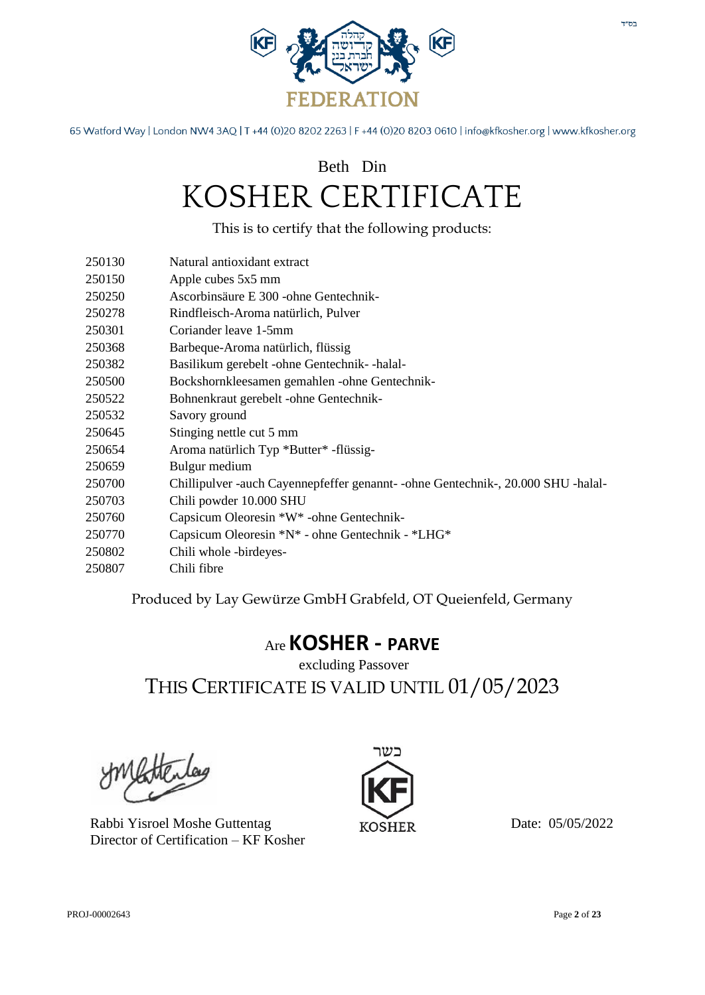

## Beth Din KOSHER CERTIFICATE

|                             | This is to certify that the following products:                                  |
|-----------------------------|----------------------------------------------------------------------------------|
| 250130                      | Natural antioxidant extract                                                      |
| 250150                      | Apple cubes 5x5 mm                                                               |
| 250250                      | Ascorbinsäure E 300 - ohne Gentechnik-                                           |
| 250278                      | Rindfleisch-Aroma natürlich, Pulver                                              |
| 250301                      | Coriander leave 1-5mm                                                            |
| 250368                      | Barbeque-Aroma natürlich, flüssig                                                |
| 250382                      | Basilikum gerebelt -ohne Gentechnik- -halal-                                     |
| 250500                      | Bockshornkleesamen gemahlen -ohne Gentechnik-                                    |
| 250522                      | Bohnenkraut gerebelt -ohne Gentechnik-                                           |
| 250532                      | Savory ground                                                                    |
| 250645                      | Stinging nettle cut 5 mm                                                         |
| 250654                      | Aroma natürlich Typ *Butter* -flüssig-                                           |
| 250659                      | Bulgur medium                                                                    |
| 250700                      | Chillipulver -auch Cayennepfeffer genannt- -ohne Gentechnik-, 20.000 SHU -halal- |
| 250703                      | Chili powder 10.000 SHU                                                          |
| 250760                      | Capsicum Oleoresin *W* -ohne Gentechnik-                                         |
| 250770                      | Capsicum Oleoresin *N* - ohne Gentechnik - *LHG*                                 |
| 250802                      | Chili whole -birdeyes-                                                           |
| 250807                      | Chili fibre                                                                      |
|                             | Produced by Lay Gewürze GmbH Grabfeld, OT Queienfeld, Germany                    |
| $_{\rm Arc}$ KOSHER - PARVE |                                                                                  |

### excluding Passover THIS CERTIFICATE IS VALID UNTIL 01/05/2023

Rabbi Yisroel Moshe Guttentag Director of Certification – KF Kosher

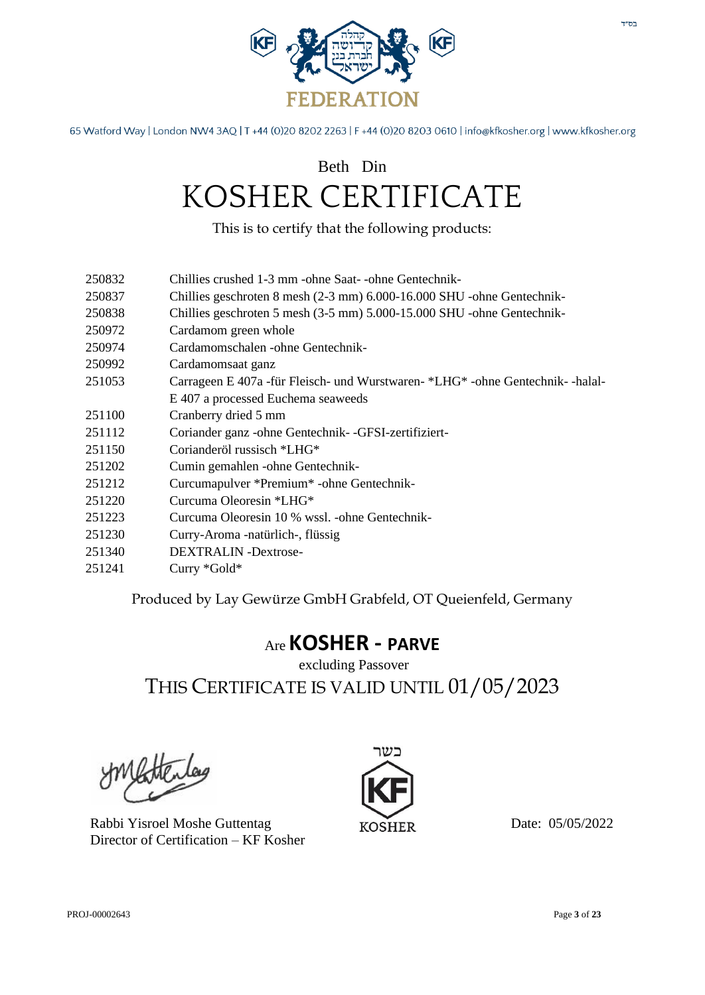

### Beth Din KOSHER CERTIFICATE

This is to certify that the following products:

- 250832 Chillies crushed 1-3 mm -ohne Saat- -ohne Gentechnik-
- 250837 Chillies geschroten 8 mesh (2-3 mm) 6.000-16.000 SHU -ohne Gentechnik-
- 250838 Chillies geschroten 5 mesh (3-5 mm) 5.000-15.000 SHU -ohne Gentechnik-
- 250972 Cardamom green whole
- 250974 Cardamomschalen -ohne Gentechnik-
- 250992 Cardamomsaat ganz
- 251053 Carrageen E 407a -für Fleisch- und Wurstwaren- \*LHG\* -ohne Gentechnik- -halal-E 407 a processed Euchema seaweeds
- 251100 Cranberry dried 5 mm
- 251112 Coriander ganz -ohne Gentechnik- -GFSI-zertifiziert-
- 251150 Corianderöl russisch \*LHG\*
- 251202 Cumin gemahlen -ohne Gentechnik-
- 251212 Curcumapulver \*Premium\* -ohne Gentechnik-
- 251220 Curcuma Oleoresin \*LHG\*
- 251223 Curcuma Oleoresin 10 % wssl. -ohne Gentechnik-
- 251230 Curry-Aroma -natürlich-, flüssig
- 251340 DEXTRALIN -Dextrose-
- 251241 Curry \*Gold\*

Produced by Lay Gewürze GmbH Grabfeld, OT Queienfeld, Germany

#### Are **KOSHER - PARVE**

excluding Passover THIS CERTIFICATE IS VALID UNTIL 01/05/2023

Rabbi Yisroel Moshe Guttentag Director of Certification – KF Kosher

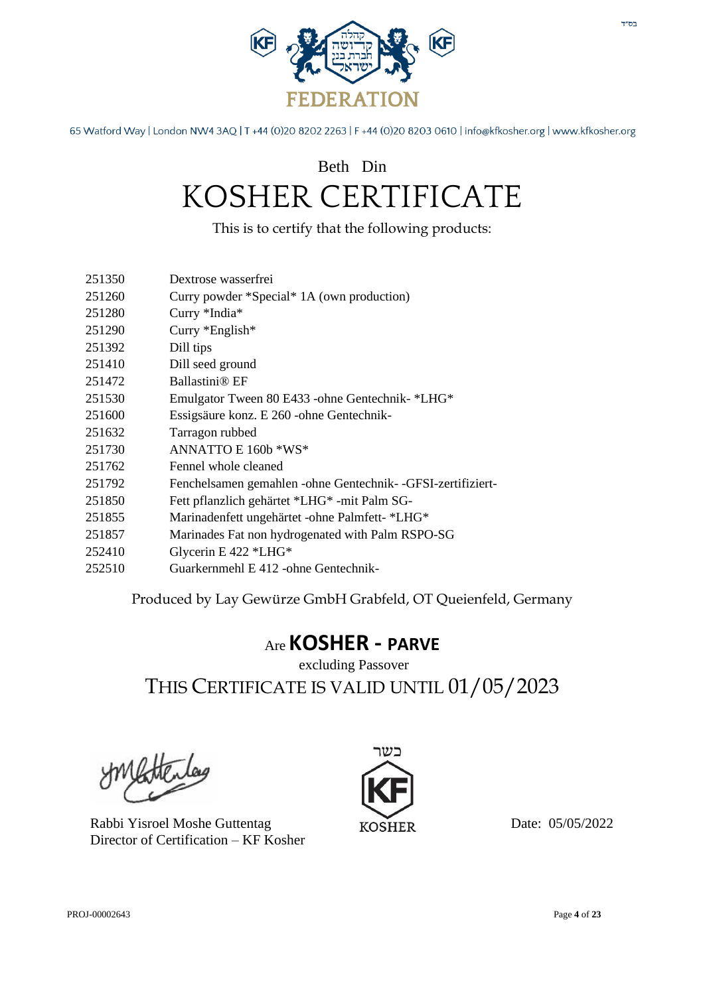

### Beth Din KOSHER CERTIFICATE

This is to certify that the following products:

- 251260 Curry powder \*Special\* 1A (own production)
- 251280 Curry \*India\*
- 251290 Curry \*English\*
- 251392 Dill tips
- 251410 Dill seed ground
- 251472 Ballastini® EF
- 251530 Emulgator Tween 80 E433 -ohne Gentechnik- \*LHG\*
- 251600 Essigsäure konz. E 260 -ohne Gentechnik-
- 251632 Tarragon rubbed
- 251730 ANNATTO E 160b \*WS\*
- 251762 Fennel whole cleaned
- 251792 Fenchelsamen gemahlen -ohne Gentechnik- -GFSI-zertifiziert-
- 251850 Fett pflanzlich gehärtet \*LHG\* -mit Palm SG-
- 251855 Marinadenfett ungehärtet -ohne Palmfett- \*LHG\*
- 251857 Marinades Fat non hydrogenated with Palm RSPO-SG
- 252410 Glycerin E 422 \*LHG\*
- 252510 Guarkernmehl E 412 -ohne Gentechnik-

Produced by Lay Gewürze GmbH Grabfeld, OT Queienfeld, Germany

#### Are **KOSHER - PARVE**

excluding Passover THIS CERTIFICATE IS VALID UNTIL 01/05/2023

Rabbi Yisroel Moshe Guttentag Director of Certification – KF Kosher

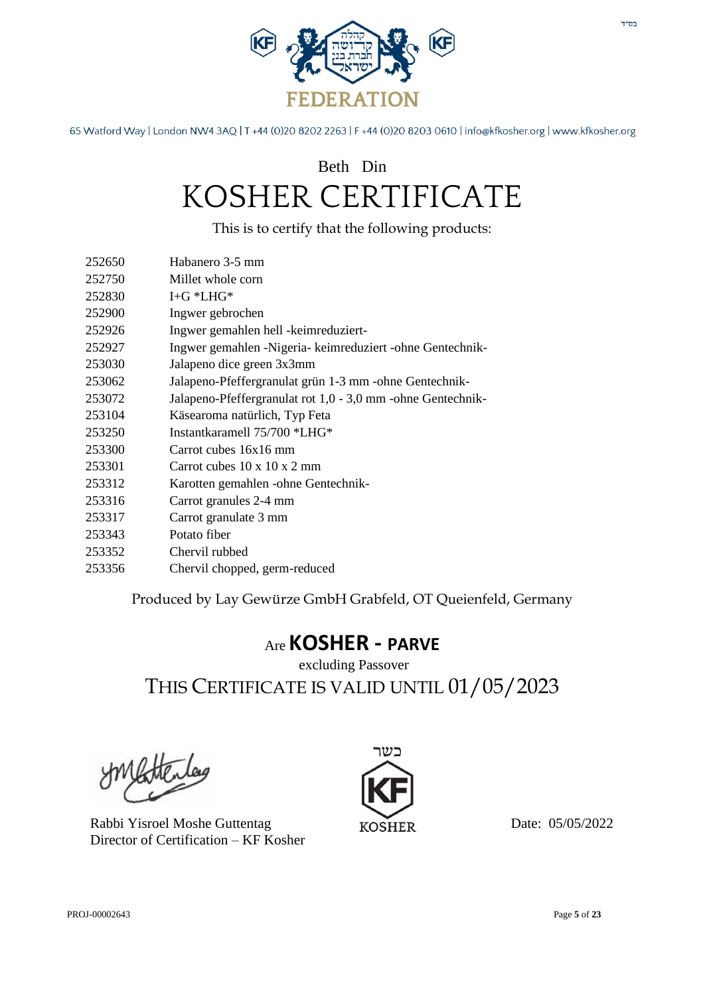

### Beth Din KOSHER CERTIFICATE

This is to certify that the following products:

- 252650 Habanero 3-5 mm
- 252750 Millet whole corn
- 252830 I+G \*LHG\*
- 252900 Ingwer gebrochen
- 252926 Ingwer gemahlen hell -keimreduziert-
- 252927 Ingwer gemahlen -Nigeria- keimreduziert -ohne Gentechnik-
- 253030 Jalapeno dice green 3x3mm
- 253062 Jalapeno-Pfeffergranulat grün 1-3 mm -ohne Gentechnik-
- 253072 Jalapeno-Pfeffergranulat rot 1,0 3,0 mm -ohne Gentechnik-
- 253104 Käsearoma natürlich, Typ Feta
- 253250 Instantkaramell 75/700 \*LHG\*
- 253300 Carrot cubes 16x16 mm
- 253301 Carrot cubes 10 x 10 x 2 mm
- 253312 Karotten gemahlen -ohne Gentechnik-
- 253316 Carrot granules 2-4 mm
- 253317 Carrot granulate 3 mm
- 253343 Potato fiber
- 253352 Chervil rubbed
- 253356 Chervil chopped, germ-reduced

Produced by Lay Gewürze GmbH Grabfeld, OT Queienfeld, Germany

#### Are **KOSHER - PARVE**

excluding Passover THIS CERTIFICATE IS VALID UNTIL 01/05/2023

Rabbi Yisroel Moshe Guttentag Director of Certification – KF Kosher

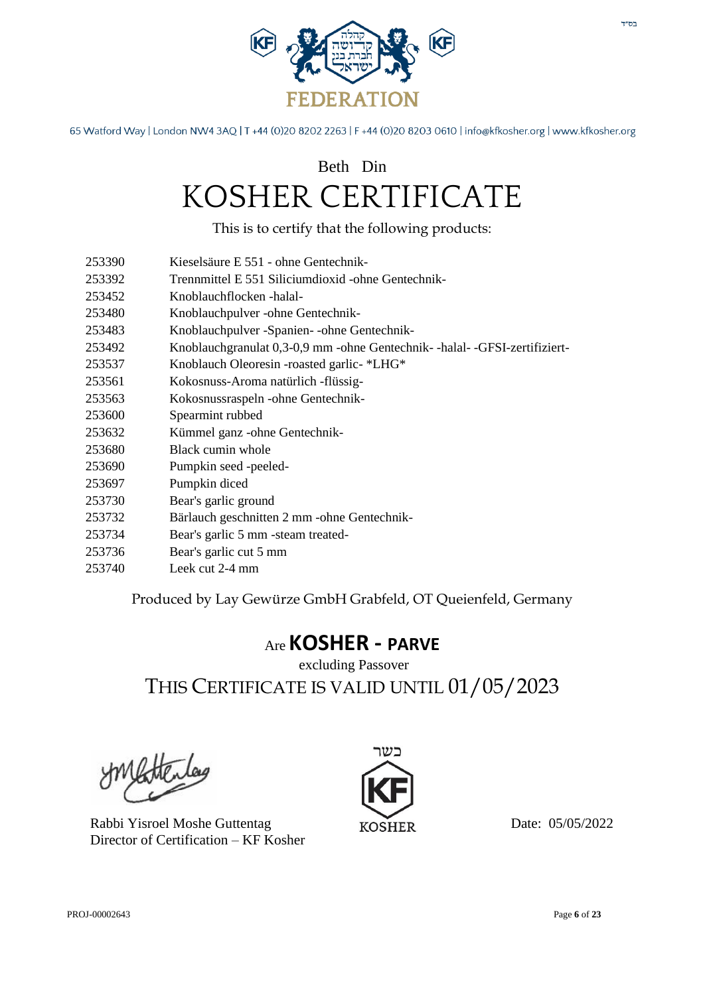

### Beth Din KOSHER CERTIFICATE

This is to certify that the following products:

- 253390 Kieselsäure E 551 ohne Gentechnik-
- 253392 Trennmittel E 551 Siliciumdioxid -ohne Gentechnik-
- 253452 Knoblauchflocken -halal-
- 253480 Knoblauchpulver -ohne Gentechnik-
- 253483 Knoblauchpulver -Spanien- -ohne Gentechnik-
- 253492 Knoblauchgranulat 0,3-0,9 mm -ohne Gentechnik- -halal- -GFSI-zertifiziert-
- 253537 Knoblauch Oleoresin -roasted garlic- \*LHG\*
- 253561 Kokosnuss-Aroma natürlich -flüssig-
- 253563 Kokosnussraspeln -ohne Gentechnik-
- 253600 Spearmint rubbed
- 253632 Kümmel ganz -ohne Gentechnik-
- 253680 Black cumin whole
- 253690 Pumpkin seed -peeled-
- 253697 Pumpkin diced
- 253730 Bear's garlic ground
- 253732 Bärlauch geschnitten 2 mm -ohne Gentechnik-
- 253734 Bear's garlic 5 mm -steam treated-
- 253736 Bear's garlic cut 5 mm
- 253740 Leek cut 2-4 mm

Produced by Lay Gewürze GmbH Grabfeld, OT Queienfeld, Germany

#### Are **KOSHER - PARVE**

excluding Passover THIS CERTIFICATE IS VALID UNTIL 01/05/2023

Rabbi Yisroel Moshe Guttentag Director of Certification – KF Kosher

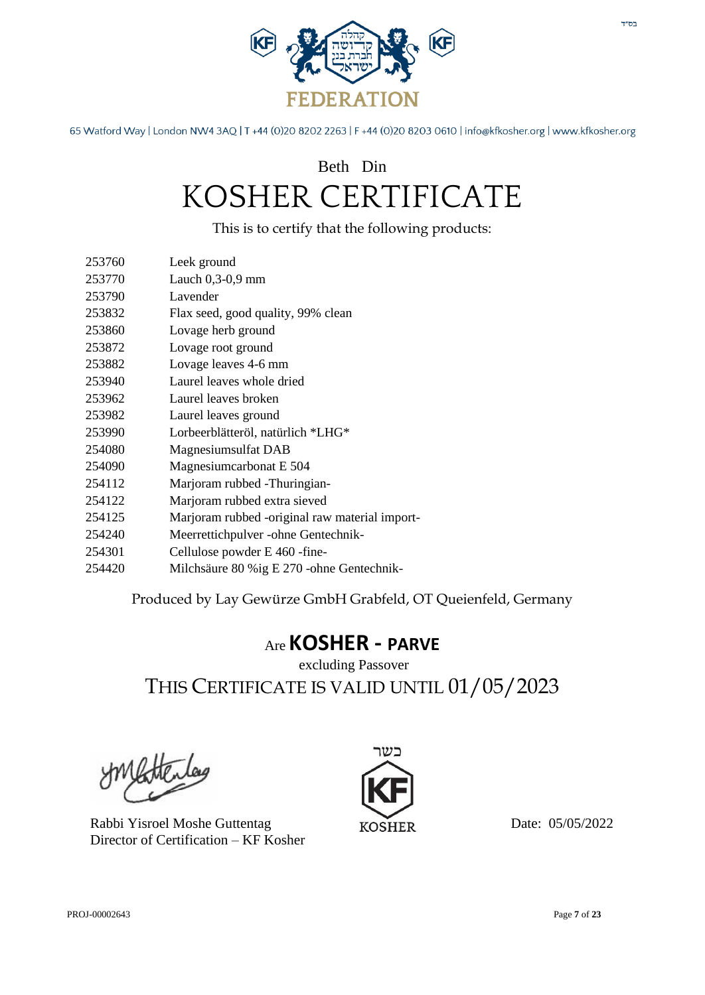

### Beth Din KOSHER CERTIFICATE

This is to certify that the following products:

| Leek ground |
|-------------|
|             |

- 253770 Lauch 0,3-0,9 mm
- 253790 Lavender
- 253832 Flax seed, good quality, 99% clean
- 253860 Lovage herb ground
- 253872 Lovage root ground
- 253882 Lovage leaves 4-6 mm
- 253940 Laurel leaves whole dried
- 253962 Laurel leaves broken
- 253982 Laurel leaves ground
- 253990 Lorbeerblätteröl, natürlich \*LHG\*
- 254080 Magnesiumsulfat DAB
- 254090 Magnesiumcarbonat E 504
- 254112 Marjoram rubbed -Thuringian-
- 254122 Marjoram rubbed extra sieved
- 254125 Marjoram rubbed -original raw material import-
- 254240 Meerrettichpulver -ohne Gentechnik-
- 254301 Cellulose powder E 460 -fine-
- 254420 Milchsäure 80 %ig E 270 -ohne Gentechnik-

Produced by Lay Gewürze GmbH Grabfeld, OT Queienfeld, Germany

#### Are **KOSHER - PARVE**

excluding Passover THIS CERTIFICATE IS VALID UNTIL 01/05/2023

Rabbi Yisroel Moshe Guttentag Director of Certification – KF Kosher

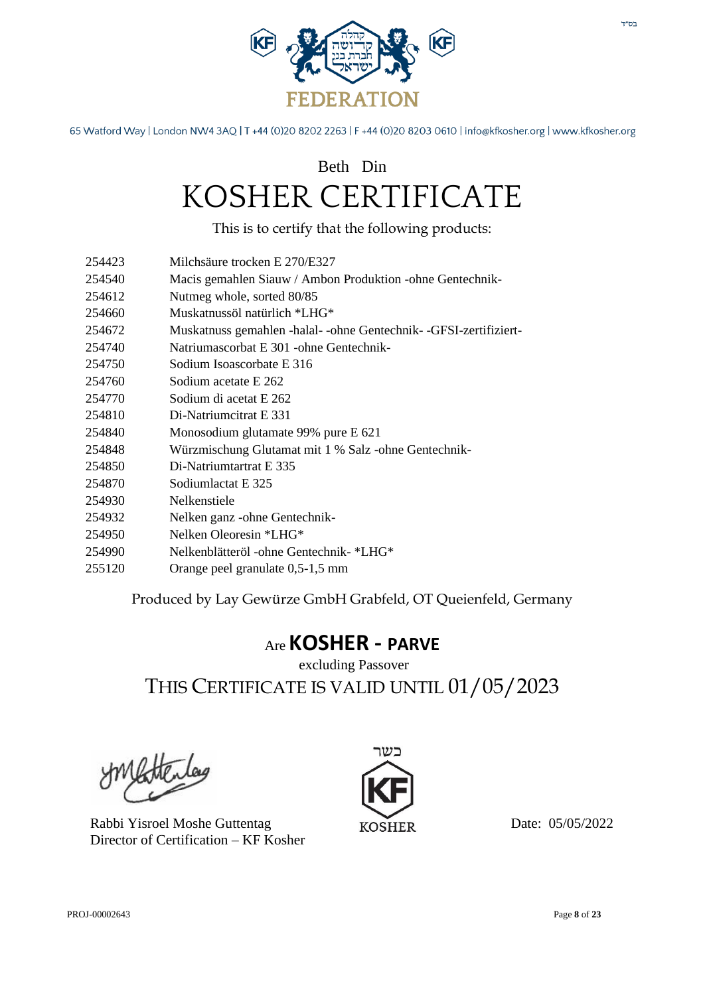

### Beth Din KOSHER CERTIFICATE

This is to certify that the following products:

- 254423 Milchsäure trocken E 270/E327
- 254540 Macis gemahlen Siauw / Ambon Produktion -ohne Gentechnik-
- 254612 Nutmeg whole, sorted 80/85
- 254660 Muskatnussöl natürlich \*LHG\*
- 254672 Muskatnuss gemahlen -halal- -ohne Gentechnik- -GFSI-zertifiziert-
- 254740 Natriumascorbat E 301 -ohne Gentechnik-
- 254750 Sodium Isoascorbate E 316
- 254760 Sodium acetate E 262
- 254770 Sodium di acetat E 262
- 254810 Di-Natriumcitrat E 331
- 254840 Monosodium glutamate 99% pure E 621
- 254848 Würzmischung Glutamat mit 1 % Salz -ohne Gentechnik-
- 254850 Di-Natriumtartrat E 335
- 254870 Sodiumlactat E 325
- 254930 Nelkenstiele
- 254932 Nelken ganz -ohne Gentechnik-
- 254950 Nelken Oleoresin \*LHG\*
- 254990 Nelkenblätteröl -ohne Gentechnik- \*LHG\*
- 255120 Orange peel granulate 0,5-1,5 mm

Produced by Lay Gewürze GmbH Grabfeld, OT Queienfeld, Germany

#### Are **KOSHER - PARVE**

excluding Passover THIS CERTIFICATE IS VALID UNTIL 01/05/2023

Rabbi Yisroel Moshe Guttentag Director of Certification – KF Kosher

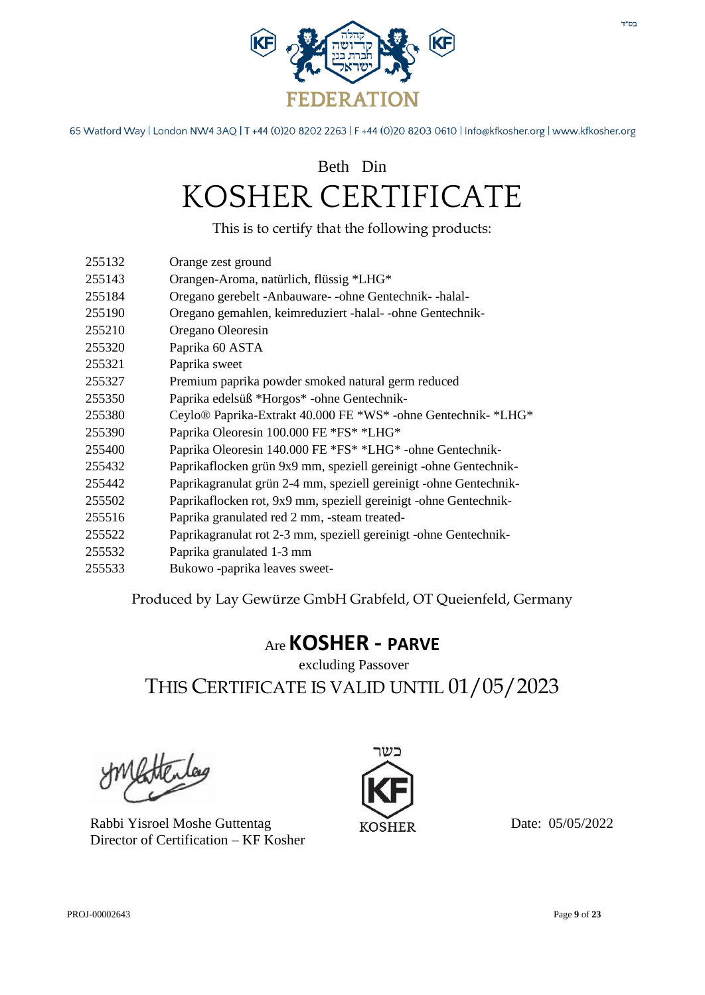

Beth Din

# KOSHER CERTIFICATE

This is to certify that the following products:

- 255132 Orange zest ground
- 255143 Orangen-Aroma, natürlich, flüssig \*LHG\*
- 255184 Oregano gerebelt -Anbauware- -ohne Gentechnik- -halal-
- 255190 Oregano gemahlen, keimreduziert -halal- -ohne Gentechnik-
- 255210 Oregano Oleoresin
- 255320 Paprika 60 ASTA
- 255321 Paprika sweet
- 255327 Premium paprika powder smoked natural germ reduced
- 255350 Paprika edelsüß \*Horgos\* -ohne Gentechnik-
- 255380 Ceylo® Paprika-Extrakt 40.000 FE \*WS\* -ohne Gentechnik- \*LHG\*
- 255390 Paprika Oleoresin 100.000 FE \*FS\* \*LHG\*
- 255400 Paprika Oleoresin 140.000 FE \*FS\* \*LHG\* -ohne Gentechnik-
- 255432 Paprikaflocken grün 9x9 mm, speziell gereinigt -ohne Gentechnik-
- 255442 Paprikagranulat grün 2-4 mm, speziell gereinigt -ohne Gentechnik-
- 255502 Paprikaflocken rot, 9x9 mm, speziell gereinigt -ohne Gentechnik-
- 255516 Paprika granulated red 2 mm, -steam treated-
- 255522 Paprikagranulat rot 2-3 mm, speziell gereinigt -ohne Gentechnik-
- 255532 Paprika granulated 1-3 mm
- 255533 Bukowo -paprika leaves sweet-

Produced by Lay Gewürze GmbH Grabfeld, OT Queienfeld, Germany

#### Are **KOSHER - PARVE**

excluding Passover THIS CERTIFICATE IS VALID UNTIL 01/05/2023

Rabbi Yisroel Moshe Guttentag Director of Certification – KF Kosher

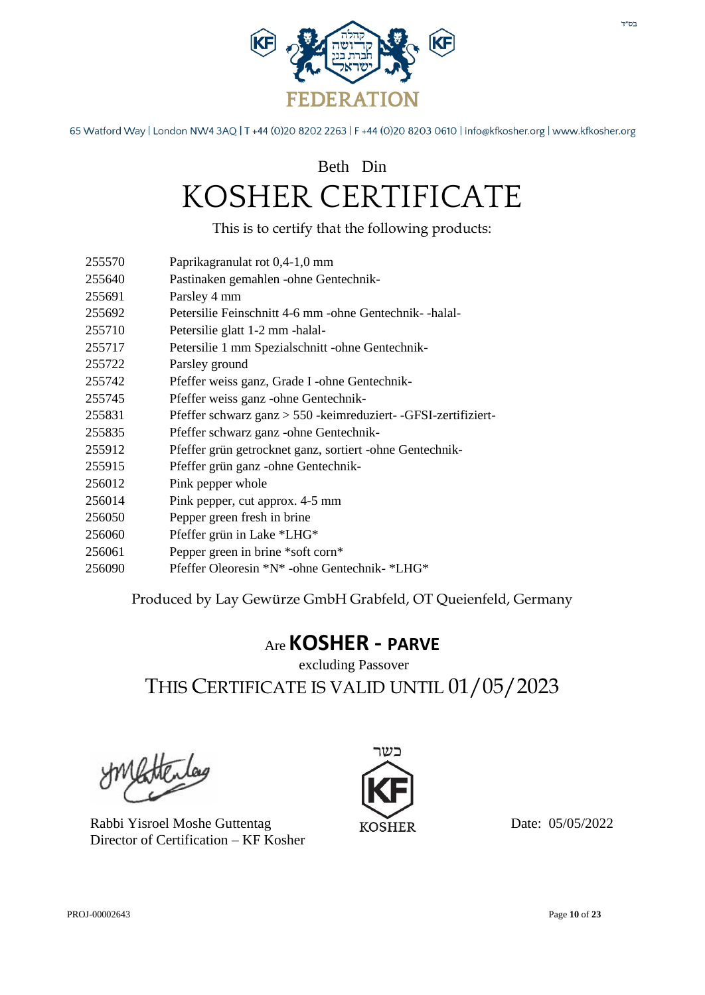

### Beth Din KOSHER CERTIFICATE

This is to certify that the following products:

- 255570 Paprikagranulat rot 0,4-1,0 mm
- 255640 Pastinaken gemahlen -ohne Gentechnik-
- 255691 Parsley 4 mm
- 255692 Petersilie Feinschnitt 4-6 mm -ohne Gentechnik- -halal-
- 255710 Petersilie glatt 1-2 mm -halal-
- 255717 Petersilie 1 mm Spezialschnitt -ohne Gentechnik-
- 255722 Parsley ground
- 255742 Pfeffer weiss ganz, Grade I -ohne Gentechnik-
- 255745 Pfeffer weiss ganz -ohne Gentechnik-
- 255831 Pfeffer schwarz ganz > 550 -keimreduziert- -GFSI-zertifiziert-
- 255835 Pfeffer schwarz ganz -ohne Gentechnik-
- 255912 Pfeffer grün getrocknet ganz, sortiert -ohne Gentechnik-
- 255915 Pfeffer grün ganz -ohne Gentechnik-
- 256012 Pink pepper whole
- 256014 Pink pepper, cut approx. 4-5 mm
- 256050 Pepper green fresh in brine
- 256060 Pfeffer grün in Lake \*LHG\*
- 256061 Pepper green in brine \*soft corn\*
- 256090 Pfeffer Oleoresin \*N\* -ohne Gentechnik- \*LHG\*

Produced by Lay Gewürze GmbH Grabfeld, OT Queienfeld, Germany

#### Are **KOSHER - PARVE**

excluding Passover THIS CERTIFICATE IS VALID UNTIL 01/05/2023

Rabbi Yisroel Moshe Guttentag Director of Certification – KF Kosher

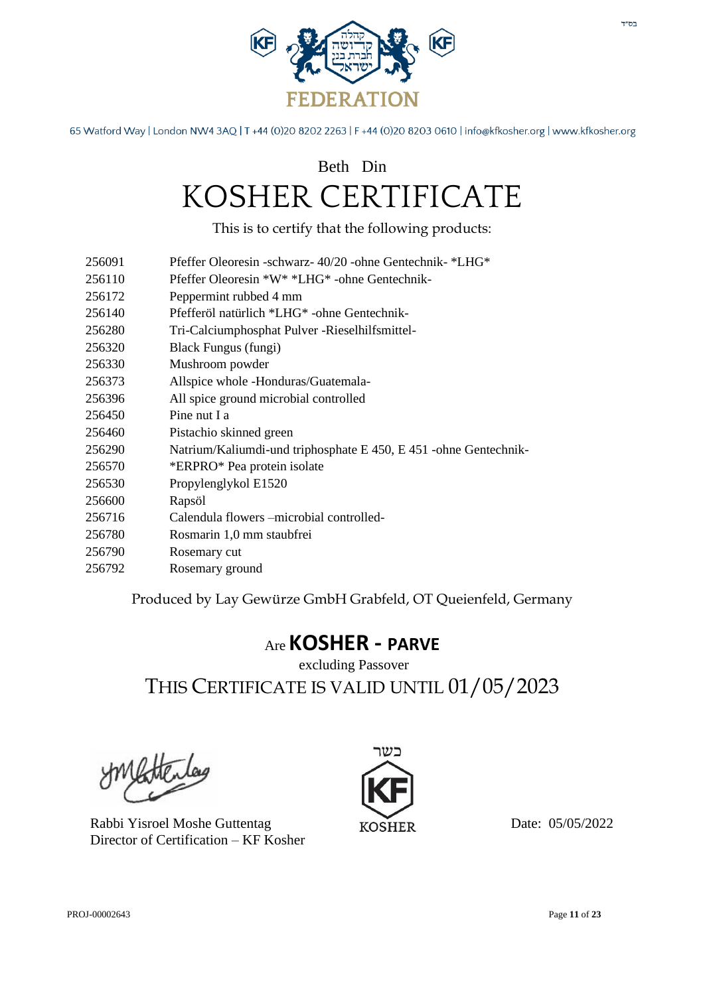

### Beth Din KOSHER CERTIFICATE

This is to certify that the following products:

- 256091 Pfeffer Oleoresin -schwarz- 40/20 -ohne Gentechnik- \*LHG\*
- 256110 Pfeffer Oleoresin \*W\* \*LHG\* -ohne Gentechnik-
- 256172 Peppermint rubbed 4 mm
- 256140 Pfefferöl natürlich \*LHG\* -ohne Gentechnik-
- 256280 Tri-Calciumphosphat Pulver -Rieselhilfsmittel-
- 256320 Black Fungus (fungi)
- 256330 Mushroom powder
- 256373 Allspice whole -Honduras/Guatemala-
- 256396 All spice ground microbial controlled
- 256450 Pine nut I a
- 256460 Pistachio skinned green
- 256290 Natrium/Kaliumdi-und triphosphate E 450, E 451 -ohne Gentechnik-
- 256570 \*ERPRO\* Pea protein isolate
- 256530 Propylenglykol E1520
- 256600 Rapsöl
- 256716 Calendula flowers –microbial controlled-
- 256780 Rosmarin 1,0 mm staubfrei
- 256790 Rosemary cut
- 256792 Rosemary ground

Produced by Lay Gewürze GmbH Grabfeld, OT Queienfeld, Germany

#### Are **KOSHER - PARVE**

excluding Passover THIS CERTIFICATE IS VALID UNTIL 01/05/2023

Rabbi Yisroel Moshe Guttentag Director of Certification – KF Kosher

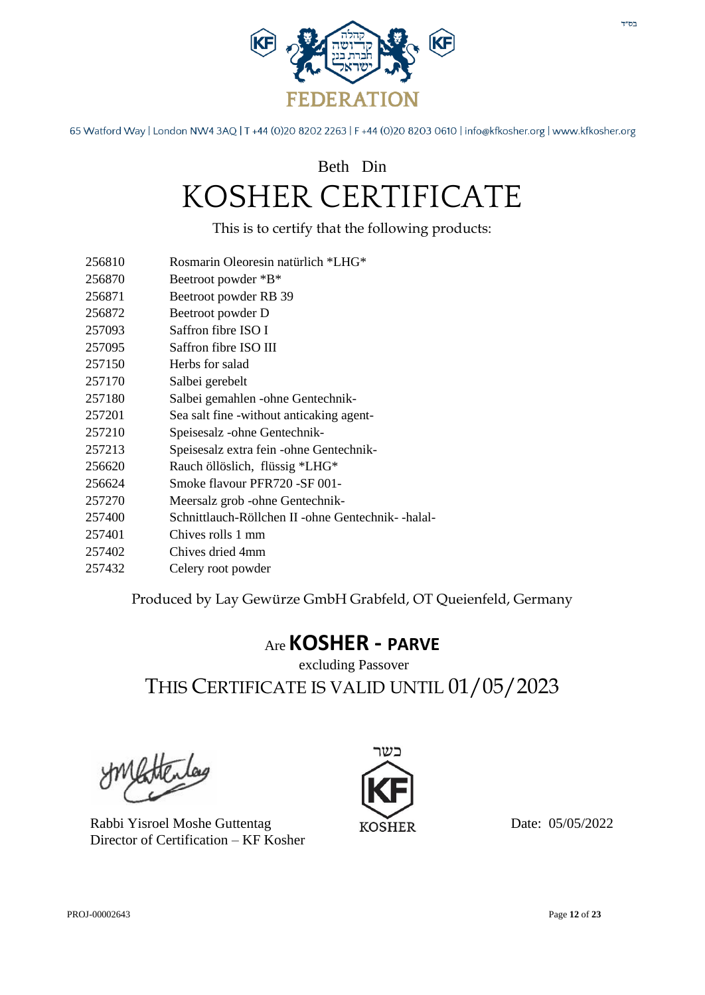

### Beth Din KOSHER CERTIFICATE

This is to certify that the following products:

- 256810 Rosmarin Oleoresin natürlich \*LHG\*
- 256870 Beetroot powder \*B\*
- 256871 Beetroot powder RB 39
- 256872 Beetroot powder D
- 257093 Saffron fibre ISO I
- 257095 Saffron fibre ISO III
- 257150 Herbs for salad
- 257170 Salbei gerebelt
- 257180 Salbei gemahlen -ohne Gentechnik-
- 257201 Sea salt fine -without anticaking agent-
- 257210 Speisesalz -ohne Gentechnik-
- 257213 Speisesalz extra fein -ohne Gentechnik-
- 256620 Rauch öllöslich, flüssig \*LHG\*
- 256624 Smoke flavour PFR720 -SF 001-
- 257270 Meersalz grob -ohne Gentechnik-
- 257400 Schnittlauch-Röllchen II -ohne Gentechnik- -halal-
- 257401 Chives rolls 1 mm
- 257402 Chives dried 4mm
- 257432 Celery root powder

Produced by Lay Gewürze GmbH Grabfeld, OT Queienfeld, Germany

#### Are **KOSHER - PARVE**

excluding Passover THIS CERTIFICATE IS VALID UNTIL 01/05/2023

Rabbi Yisroel Moshe Guttentag Director of Certification – KF Kosher

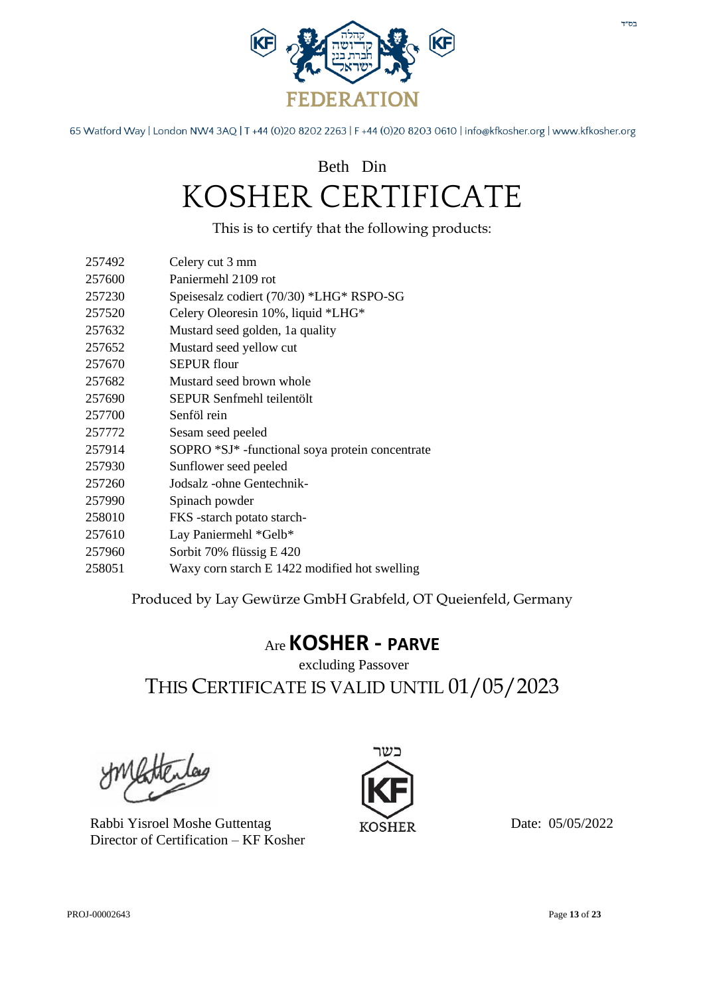

### Beth Din KOSHER CERTIFICATE

This is to certify that the following products:

257492 Celery cut 3 mm 257600 Paniermehl 2109 rot

| $\sim$ , $\prime$ , $\prime$ , $\prime$ , $\prime$ , $\prime$ | $\Gamma$ and contract $\Gamma$ and $\Gamma$     |
|---------------------------------------------------------------|-------------------------------------------------|
| 257230                                                        | Speisesalz codiert (70/30) *LHG* RSPO-SG        |
| 257520                                                        | Celery Oleoresin 10%, liquid *LHG*              |
| 257632                                                        | Mustard seed golden, 1a quality                 |
| 257652                                                        | Mustard seed yellow cut                         |
| 257670                                                        | <b>SEPUR</b> flour                              |
| 257682                                                        | Mustard seed brown whole                        |
| 257690                                                        | SEPUR Senfmehl teilentölt                       |
| 257700                                                        | Senföl rein                                     |
| 257772                                                        | Sesam seed peeled                               |
| 257914                                                        | SOPRO *SJ* -functional soya protein concentrate |
| 257930                                                        | Sunflower seed peeled                           |
| 257260                                                        | Jodsalz -ohne Gentechnik-                       |
| 257990                                                        | Spinach powder                                  |
| 258010                                                        | FKS -starch potato starch-                      |
| 257610                                                        | Lay Paniermehl *Gelb*                           |
| 257960                                                        | Sorbit 70% flüssig E 420                        |
|                                                               |                                                 |

258051 Waxy corn starch E 1422 modified hot swelling

Produced by Lay Gewürze GmbH Grabfeld, OT Queienfeld, Germany

### Are **KOSHER - PARVE**

excluding Passover THIS CERTIFICATE IS VALID UNTIL 01/05/2023

Rabbi Yisroel Moshe Guttentag Director of Certification – KF Kosher

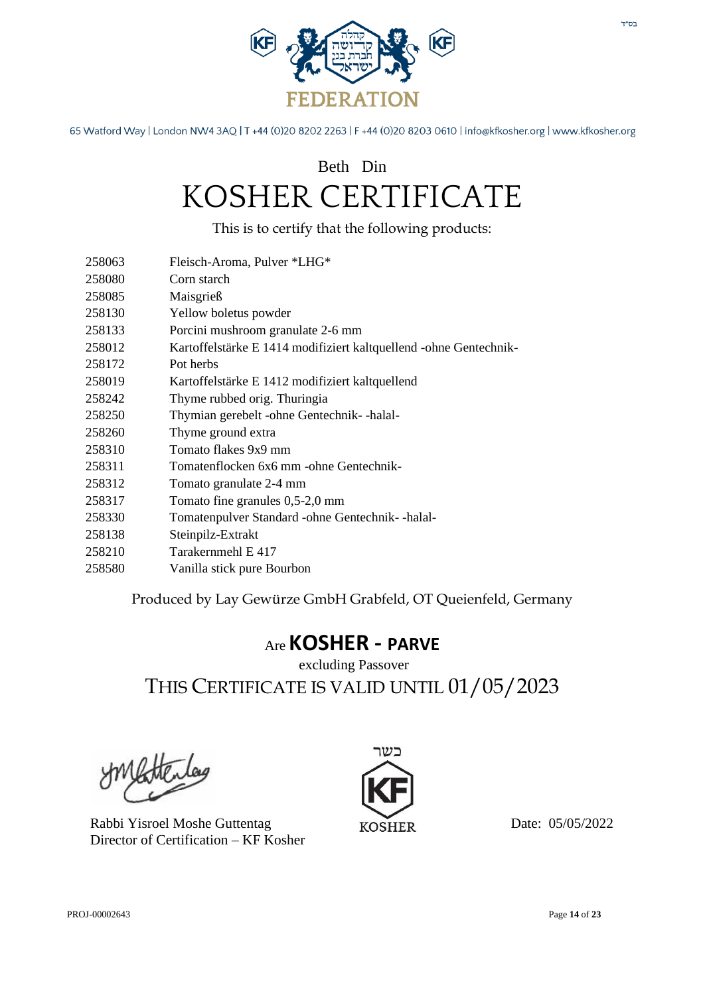

## Beth Din KOSHER CERTIFICATE

This is to certify that the following products:

| 258063 | Fleisch-Aroma, Pulver *LHG*                                       |
|--------|-------------------------------------------------------------------|
| 258080 | Corn starch                                                       |
| 258085 | Maisgrieß                                                         |
| 258130 | Yellow boletus powder                                             |
| 258133 | Porcini mushroom granulate 2-6 mm                                 |
| 258012 | Kartoffelstärke E 1414 modifiziert kaltquellend -ohne Gentechnik- |
| 258172 | Pot herbs                                                         |
| 258019 | Kartoffelstärke E 1412 modifiziert kaltquellend                   |
| 258242 | Thyme rubbed orig. Thuringia                                      |
| 258250 | Thymian gerebelt -ohne Gentechnik- -halal-                        |
| 258260 | Thyme ground extra                                                |
| 258310 | Tomato flakes 9x9 mm                                              |
| 258311 | Tomatenflocken 6x6 mm -ohne Gentechnik-                           |
| 258312 | Tomato granulate 2-4 mm                                           |
| 258317 | Tomato fine granules $0,5-2,0$ mm                                 |
| 258330 | Tomatenpulver Standard - ohne Gentechnik--halal-                  |
| 258138 | Steinpilz-Extrakt                                                 |
| 258210 | Tarakernmehl E 417                                                |
| 258580 | Vanilla stick pure Bourbon                                        |

Produced by Lay Gewürze GmbH Grabfeld, OT Queienfeld, Germany

#### Are **KOSHER - PARVE**

#### excluding Passover THIS CERTIFICATE IS VALID UNTIL 01/05/2023

Rabbi Yisroel Moshe Guttentag Director of Certification – KF Kosher

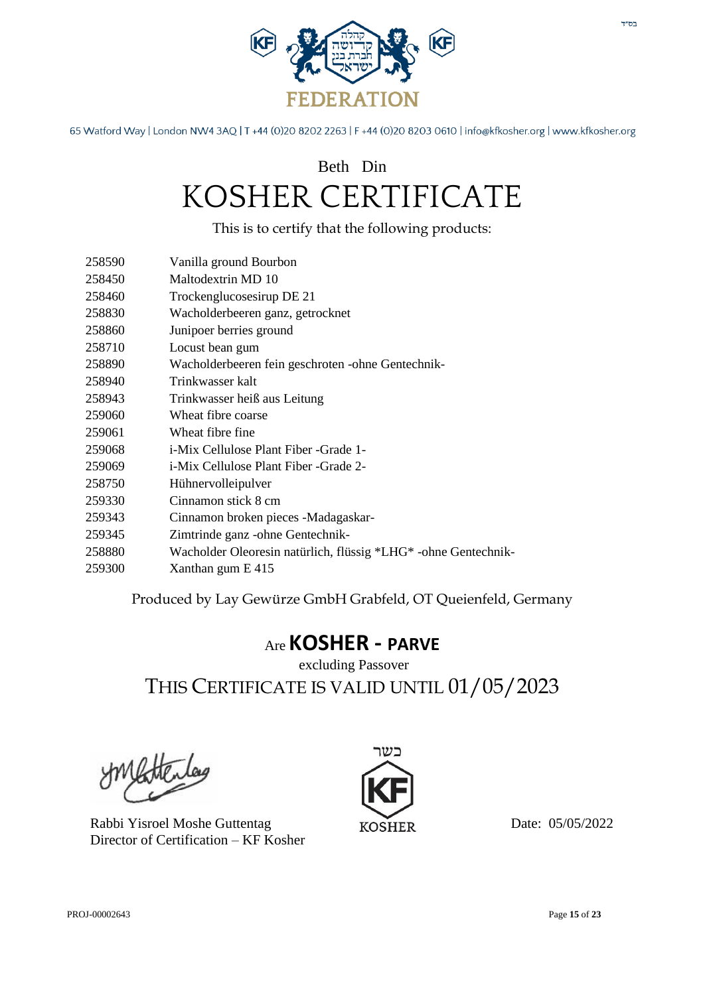

### Beth Din KOSHER CERTIFICATE

This is to certify that the following products:

| 258590 | Vanilla ground Bourbon                                         |
|--------|----------------------------------------------------------------|
| 258450 | Maltodextrin MD 10                                             |
| 258460 | Trockenglucosesirup DE 21                                      |
| 258830 | Wacholderbeeren ganz, getrocknet                               |
| 258860 | Junipoer berries ground                                        |
| 258710 | Locust bean gum                                                |
| 258890 | Wacholderbeeren fein geschroten -ohne Gentechnik-              |
| 258940 | Trinkwasser kalt                                               |
| 258943 | Trinkwasser heiß aus Leitung                                   |
| 259060 | Wheat fibre coarse                                             |
| 259061 | Wheat fibre fine                                               |
| 259068 | <i>i-Mix Cellulose Plant Fiber -Grade 1-</i>                   |
| 259069 | <i>i-Mix Cellulose Plant Fiber -Grade 2-</i>                   |
| 258750 | Hühnervolleipulver                                             |
| 259330 | Cinnamon stick 8 cm                                            |
| 259343 | Cinnamon broken pieces -Madagaskar-                            |
| 259345 | Zimtrinde ganz - ohne Gentechnik-                              |
| 258880 | Wacholder Oleoresin natürlich, flüssig *LHG* -ohne Gentechnik- |
| 259300 | Xanthan gum E 415                                              |
|        |                                                                |

Produced by Lay Gewürze GmbH Grabfeld, OT Queienfeld, Germany

#### Are **KOSHER - PARVE**

excluding Passover THIS CERTIFICATE IS VALID UNTIL 01/05/2023

Rabbi Yisroel Moshe Guttentag Director of Certification – KF Kosher

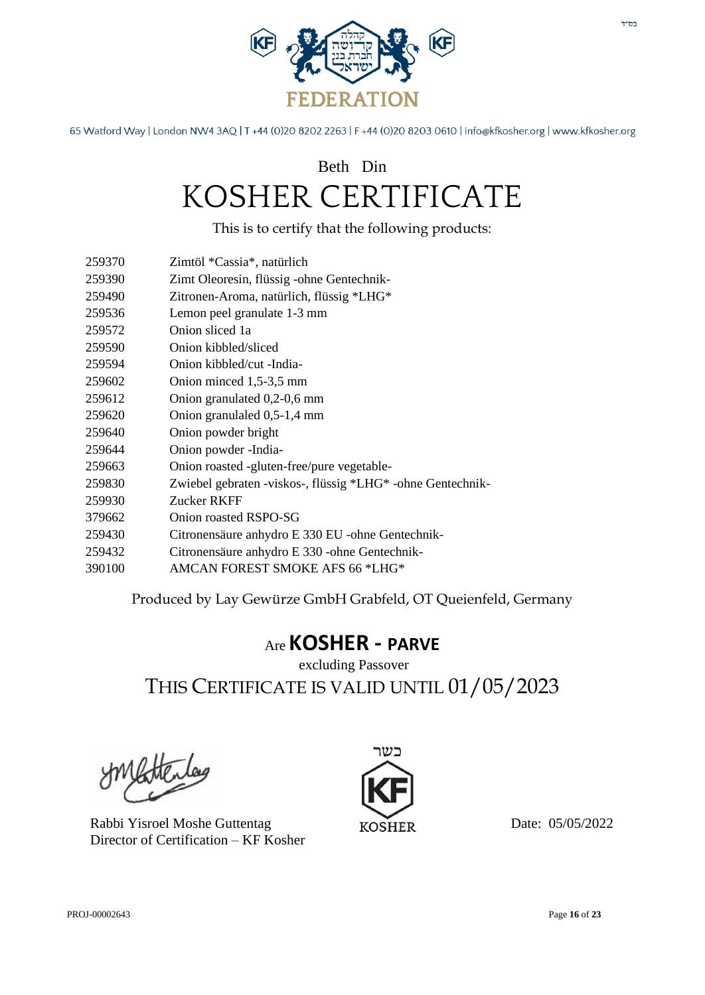

### Beth Din KOSHER CERTIFICATE

This is to certify that the following products:

- 259370 Zimtöl \*Cassia\*, natürlich
- 259390 Zimt Oleoresin, flüssig -ohne Gentechnik-
- 259490 Zitronen-Aroma, natürlich, flüssig \*LHG\*
- 259536 Lemon peel granulate 1-3 mm
- 259572 Onion sliced 1a
- 259590 Onion kibbled/sliced
- 259594 Onion kibbled/cut -India-
- 259602 Onion minced 1,5-3,5 mm
- 259612 Onion granulated 0,2-0,6 mm
- 259620 Onion granulaled 0,5-1,4 mm
- 259640 Onion powder bright
- 259644 Onion powder -India-
- 259663 Onion roasted -gluten-free/pure vegetable-
- 259830 Zwiebel gebraten -viskos-, flüssig \*LHG\* -ohne Gentechnik-
- 259930 Zucker RKFF
- 379662 Onion roasted RSPO-SG
- 259430 Citronensäure anhydro E 330 EU -ohne Gentechnik-
- 259432 Citronensäure anhydro E 330 -ohne Gentechnik-
- 390100 AMCAN FOREST SMOKE AFS 66 \*LHG\*

Produced by Lay Gewürze GmbH Grabfeld, OT Queienfeld, Germany

#### Are **KOSHER - PARVE**

excluding Passover THIS CERTIFICATE IS VALID UNTIL 01/05/2023

Rabbi Yisroel Moshe Guttentag Director of Certification – KF Kosher

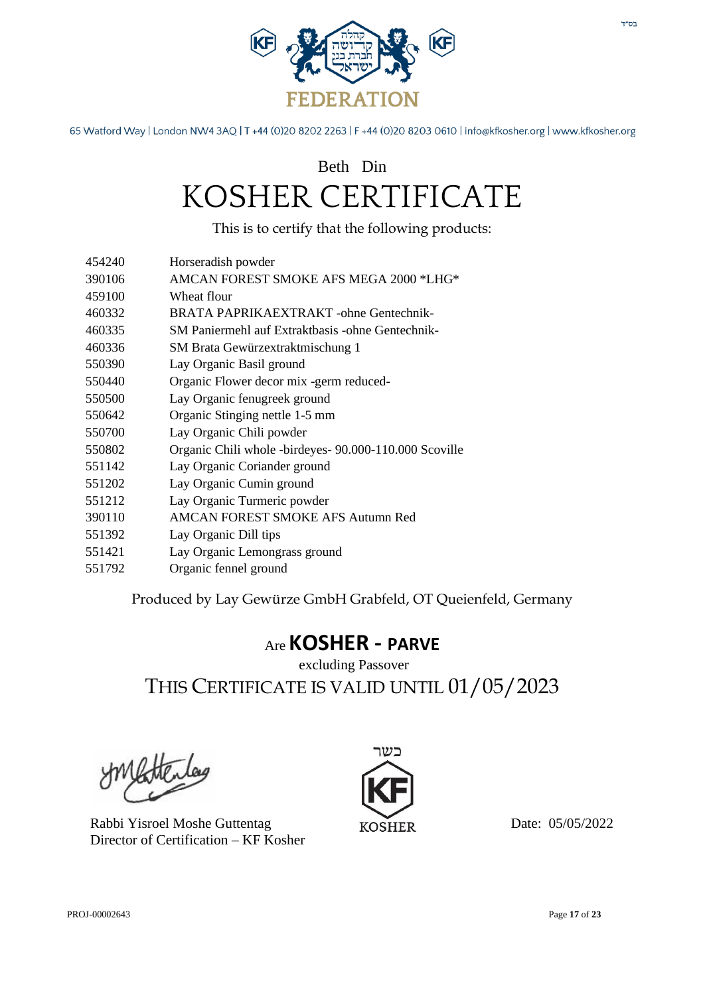

### Beth Din KOSHER CERTIFICATE

This is to certify that the following products:

- 454240 Horseradish powder
- 390106 AMCAN FOREST SMOKE AFS MEGA 2000 \*LHG\*
- 459100 Wheat flour
- 460332 BRATA PAPRIKAEXTRAKT -ohne Gentechnik-
- 460335 SM Paniermehl auf Extraktbasis -ohne Gentechnik-
- 460336 SM Brata Gewürzextraktmischung 1
- 550390 Lay Organic Basil ground
- 550440 Organic Flower decor mix -germ reduced-
- 550500 Lay Organic fenugreek ground
- 550642 Organic Stinging nettle 1-5 mm
- 550700 Lay Organic Chili powder
- 550802 Organic Chili whole -birdeyes- 90.000-110.000 Scoville
- 551142 Lay Organic Coriander ground
- 551202 Lay Organic Cumin ground
- 551212 Lay Organic Turmeric powder
- 390110 AMCAN FOREST SMOKE AFS Autumn Red
- 551392 Lay Organic Dill tips
- 551421 Lay Organic Lemongrass ground
- 551792 Organic fennel ground

Produced by Lay Gewürze GmbH Grabfeld, OT Queienfeld, Germany

#### Are **KOSHER - PARVE**

excluding Passover THIS CERTIFICATE IS VALID UNTIL 01/05/2023

Rabbi Yisroel Moshe Guttentag Director of Certification – KF Kosher

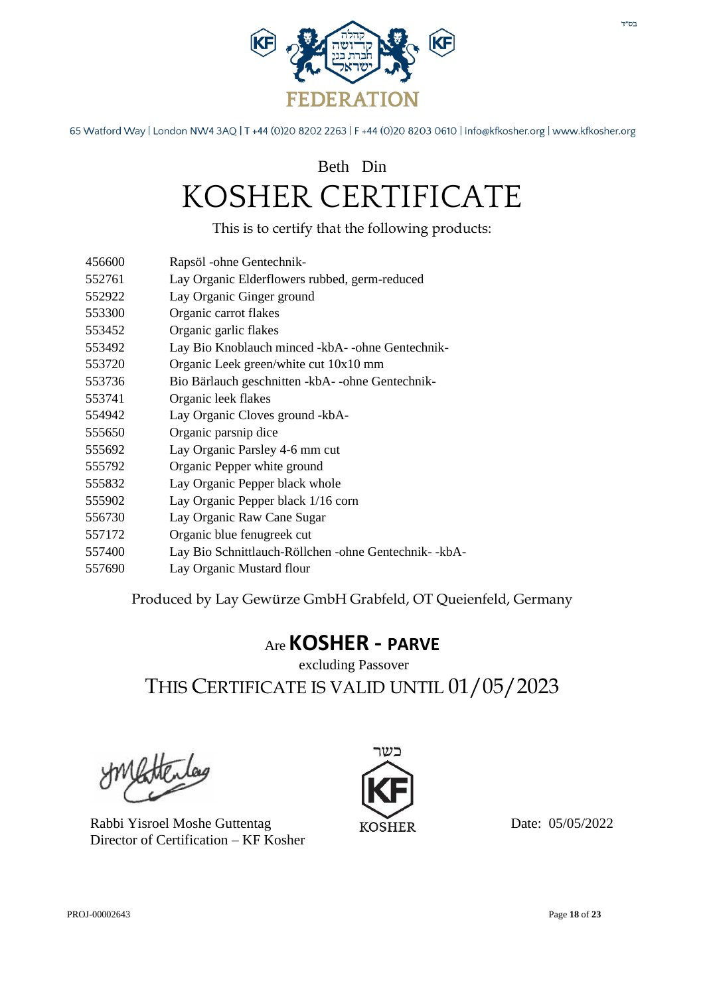

### Beth Din KOSHER CERTIFICATE

This is to certify that the following products:

- 456600 Rapsöl -ohne Gentechnik-
- 552761 Lay Organic Elderflowers rubbed, germ-reduced
- 552922 Lay Organic Ginger ground
- 553300 Organic carrot flakes
- 553452 Organic garlic flakes
- 553492 Lay Bio Knoblauch minced -kbA- -ohne Gentechnik-
- 553720 Organic Leek green/white cut 10x10 mm
- 553736 Bio Bärlauch geschnitten -kbA- -ohne Gentechnik-
- 553741 Organic leek flakes
- 554942 Lay Organic Cloves ground -kbA-
- 555650 Organic parsnip dice
- 555692 Lay Organic Parsley 4-6 mm cut
- 555792 Organic Pepper white ground
- 555832 Lay Organic Pepper black whole
- 555902 Lay Organic Pepper black 1/16 corn
- 556730 Lay Organic Raw Cane Sugar
- 557172 Organic blue fenugreek cut
- 557400 Lay Bio Schnittlauch-Röllchen -ohne Gentechnik- -kbA-
- 557690 Lay Organic Mustard flour

Produced by Lay Gewürze GmbH Grabfeld, OT Queienfeld, Germany

#### Are **KOSHER - PARVE**

excluding Passover THIS CERTIFICATE IS VALID UNTIL 01/05/2023

Rabbi Yisroel Moshe Guttentag Director of Certification – KF Kosher

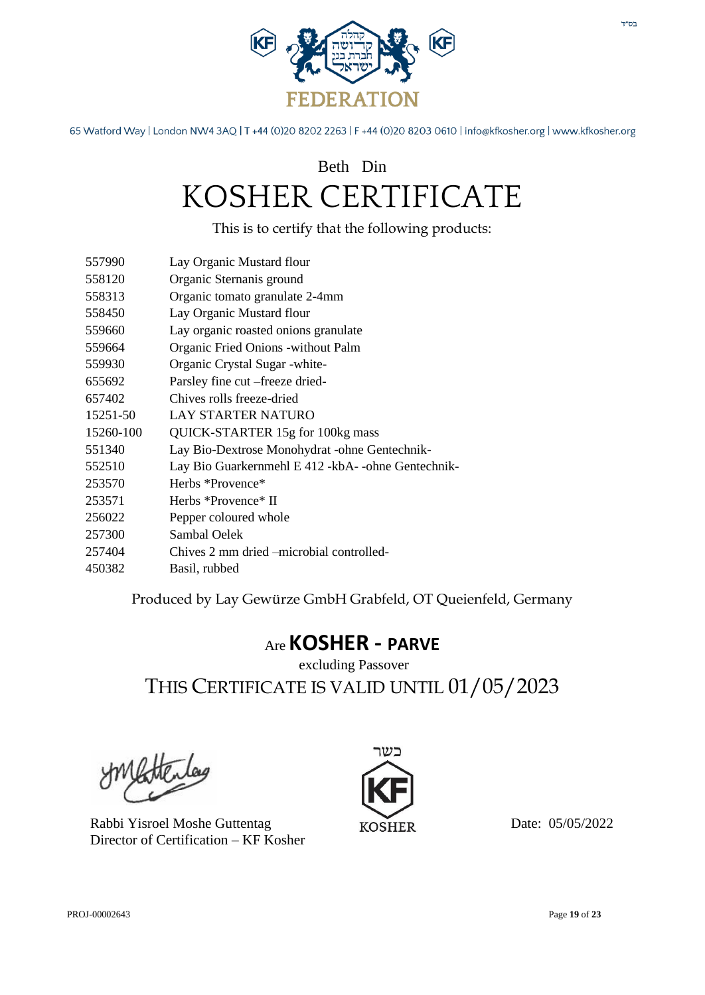

### Beth Din KOSHER CERTIFICATE

This is to certify that the following products:

| 557990    | Lay Organic Mustard flour                             |
|-----------|-------------------------------------------------------|
| 558120    | Organic Sternanis ground                              |
| 558313    | Organic tomato granulate 2-4mm                        |
| 558450    | Lay Organic Mustard flour                             |
| 559660    | Lay organic roasted onions granulate                  |
| 559664    | Organic Fried Onions - without Palm                   |
| 559930    | Organic Crystal Sugar - white-                        |
| 655692    | Parsley fine cut –freeze dried-                       |
| 657402    | Chives rolls freeze-dried                             |
| 15251-50  | <b>LAY STARTER NATURO</b>                             |
| 15260-100 | QUICK-STARTER 15g for 100kg mass                      |
| 551340    | Lay Bio-Dextrose Monohydrat -ohne Gentechnik-         |
| 552510    | Lay Bio Guarkernmehl E 412 - kbA - - ohne Gentechnik- |
| 253570    | Herbs *Provence*                                      |
| 253571    | Herbs *Provence* II                                   |
| 256022    | Pepper coloured whole                                 |
| 257300    | Sambal Oelek                                          |
| 257404    | Chives 2 mm dried – microbial controlled-             |
| 450382    | Basil, rubbed                                         |

Produced by Lay Gewürze GmbH Grabfeld, OT Queienfeld, Germany

#### Are **KOSHER - PARVE**

excluding Passover THIS CERTIFICATE IS VALID UNTIL 01/05/2023

Rabbi Yisroel Moshe Guttentag Director of Certification – KF Kosher

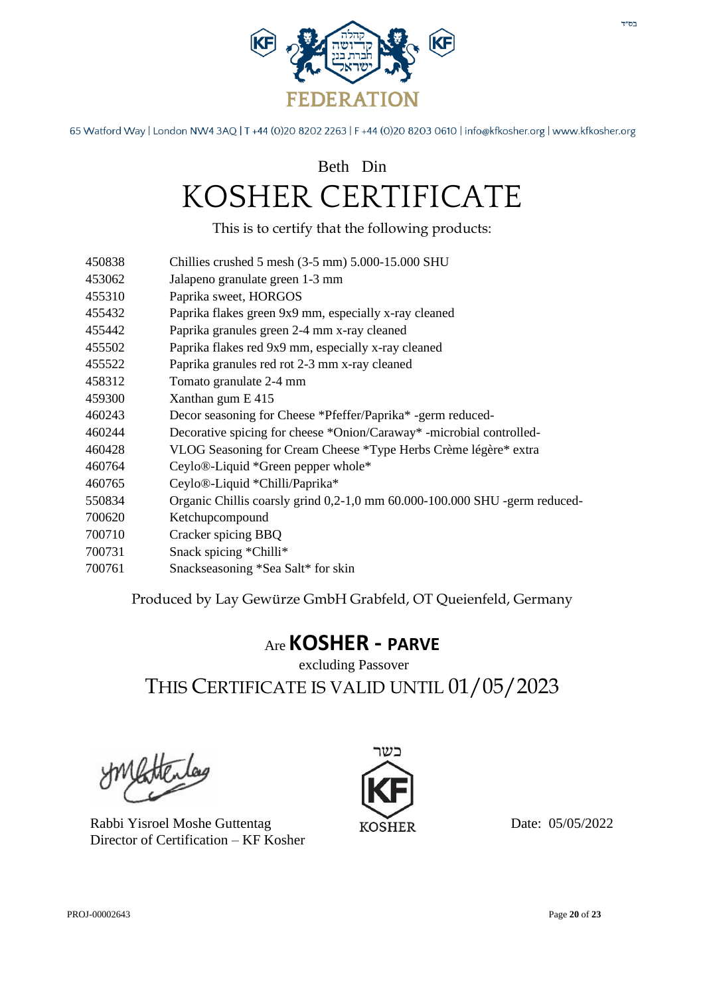

### Beth Din KOSHER CERTIFICATE

This is to certify that the following products:

- 450838 Chillies crushed 5 mesh (3-5 mm) 5.000-15.000 SHU
- 453062 Jalapeno granulate green 1-3 mm
- 455310 Paprika sweet, HORGOS
- 455432 Paprika flakes green 9x9 mm, especially x-ray cleaned
- 455442 Paprika granules green 2-4 mm x-ray cleaned
- 455502 Paprika flakes red 9x9 mm, especially x-ray cleaned
- 455522 Paprika granules red rot 2-3 mm x-ray cleaned
- 458312 Tomato granulate 2-4 mm
- 459300 Xanthan gum E 415
- 460243 Decor seasoning for Cheese \*Pfeffer/Paprika\* -germ reduced-
- 460244 Decorative spicing for cheese \*Onion/Caraway\* -microbial controlled-
- 460428 VLOG Seasoning for Cream Cheese \*Type Herbs Crème légère\* extra
- 460764 Ceylo®-Liquid \*Green pepper whole\*
- 460765 Ceylo®-Liquid \*Chilli/Paprika\*
- 550834 Organic Chillis coarsly grind 0,2-1,0 mm 60.000-100.000 SHU -germ reduced-
- 700620 Ketchupcompound
- 700710 Cracker spicing BBQ
- 700731 Snack spicing \*Chilli\*
- 700761 Snackseasoning \*Sea Salt\* for skin

Produced by Lay Gewürze GmbH Grabfeld, OT Queienfeld, Germany

#### Are **KOSHER - PARVE**

excluding Passover THIS CERTIFICATE IS VALID UNTIL 01/05/2023

Rabbi Yisroel Moshe Guttentag Director of Certification – KF Kosher

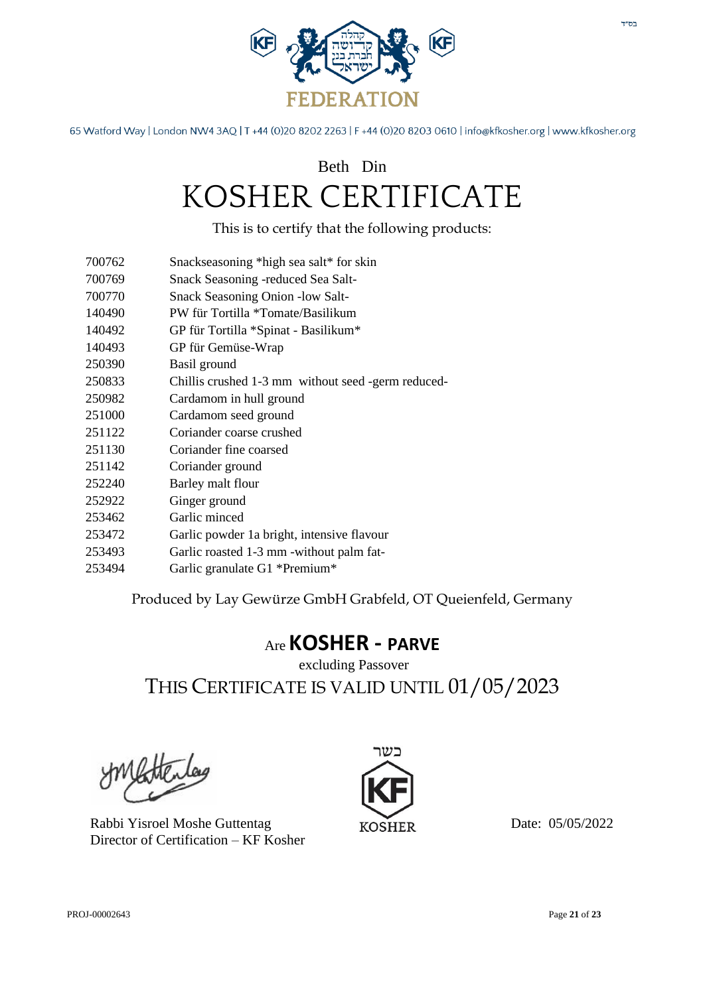

## Beth Din KOSHER CERTIFICATE

This is to certify that the following products:

- 700762 Snackseasoning \*high sea salt\* for skin
- 700769 Snack Seasoning -reduced Sea Salt-
- 700770 Snack Seasoning Onion -low Salt-
- 140490 PW für Tortilla \*Tomate/Basilikum
- 140492 GP für Tortilla \*Spinat Basilikum\*
- 140493 GP für Gemüse-Wrap
- 250390 Basil ground
- 250833 Chillis crushed 1-3 mm without seed -germ reduced-
- 250982 Cardamom in hull ground
- 251000 Cardamom seed ground
- 251122 Coriander coarse crushed
- 251130 Coriander fine coarsed
- 251142 Coriander ground
- 252240 Barley malt flour
- 252922 Ginger ground
- 253462 Garlic minced
- 253472 Garlic powder 1a bright, intensive flavour
- 253493 Garlic roasted 1-3 mm -without palm fat-
- 253494 Garlic granulate G1 \*Premium\*

Produced by Lay Gewürze GmbH Grabfeld, OT Queienfeld, Germany

#### Are **KOSHER - PARVE**

excluding Passover THIS CERTIFICATE IS VALID UNTIL 01/05/2023

Rabbi Yisroel Moshe Guttentag Director of Certification – KF Kosher

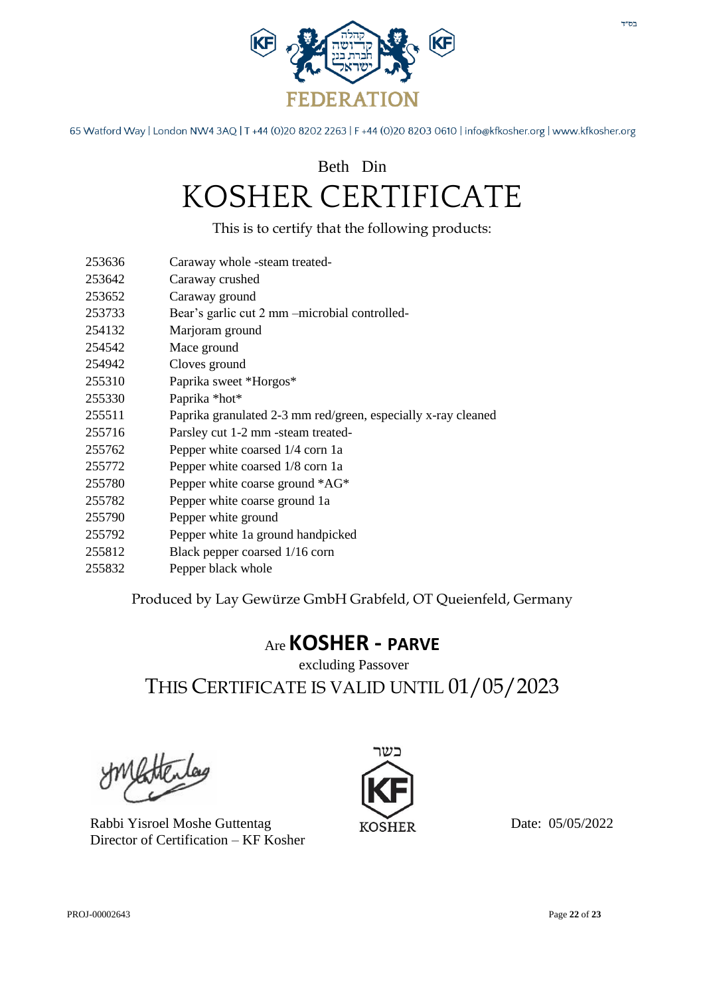

## Beth Din KOSHER CERTIFICATE

This is to certify that the following products:

- 253636 Caraway whole -steam treated-
- 253642 Caraway crushed
- 253652 Caraway ground
- 253733 Bear's garlic cut 2 mm –microbial controlled-
- 254132 Marjoram ground
- 254542 Mace ground
- 254942 Cloves ground
- 255310 Paprika sweet \*Horgos\*
- 255330 Paprika \*hot\*
- 255511 Paprika granulated 2-3 mm red/green, especially x-ray cleaned
- 255716 Parsley cut 1-2 mm -steam treated-
- 255762 Pepper white coarsed 1/4 corn 1a
- 255772 Pepper white coarsed 1/8 corn 1a
- 255780 Pepper white coarse ground \*AG\*
- 255782 Pepper white coarse ground 1a
- 255790 Pepper white ground
- 255792 Pepper white 1a ground handpicked
- 255812 Black pepper coarsed 1/16 corn
- 255832 Pepper black whole

Produced by Lay Gewürze GmbH Grabfeld, OT Queienfeld, Germany

#### Are **KOSHER - PARVE**

excluding Passover THIS CERTIFICATE IS VALID UNTIL 01/05/2023

Rabbi Yisroel Moshe Guttentag Director of Certification – KF Kosher